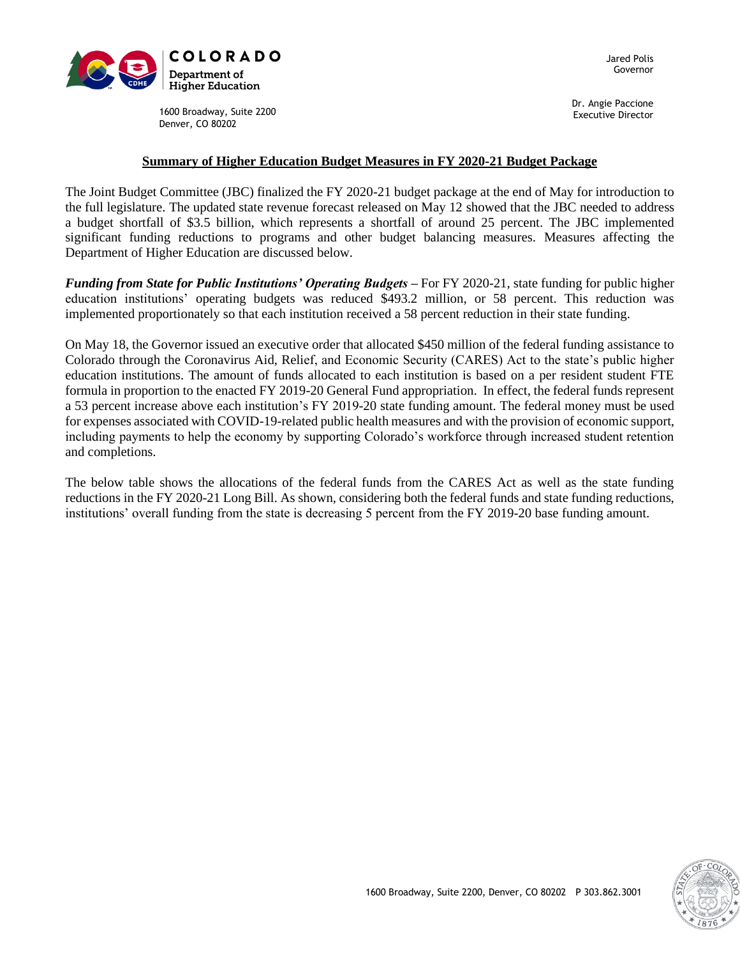

Jared Polis Governor

1600 Broadway, Suite 2200 Denver, CO 80202

Dr. Angie Paccione Executive Director

### **Summary of Higher Education Budget Measures in FY 2020-21 Budget Package**

The Joint Budget Committee (JBC) finalized the FY 2020-21 budget package at the end of May for introduction to the full legislature. The updated state revenue forecast released on May 12 showed that the JBC needed to address a budget shortfall of \$3.5 billion, which represents a shortfall of around 25 percent. The JBC implemented significant funding reductions to programs and other budget balancing measures. Measures affecting the Department of Higher Education are discussed below.

*Funding from State for Public Institutions' Operating Budgets* – For FY 2020-21, state funding for public higher education institutions' operating budgets was reduced \$493.2 million, or 58 percent. This reduction was implemented proportionately so that each institution received a 58 percent reduction in their state funding.

On May 18, the Governor issued an executive order that allocated \$450 million of the federal funding assistance to Colorado through the Coronavirus Aid, Relief, and Economic Security (CARES) Act to the state's public higher education institutions. The amount of funds allocated to each institution is based on a per resident student FTE formula in proportion to the enacted FY 2019-20 General Fund appropriation. In effect, the federal funds represent a 53 percent increase above each institution's FY 2019-20 state funding amount. The federal money must be used for expenses associated with COVID-19-related public health measures and with the provision of economic support, including payments to help the economy by supporting Colorado's workforce through increased student retention and completions.

The below table shows the allocations of the federal funds from the CARES Act as well as the state funding reductions in the FY 2020-21 Long Bill. As shown, considering both the federal funds and state funding reductions, institutions' overall funding from the state is decreasing 5 percent from the FY 2019-20 base funding amount.

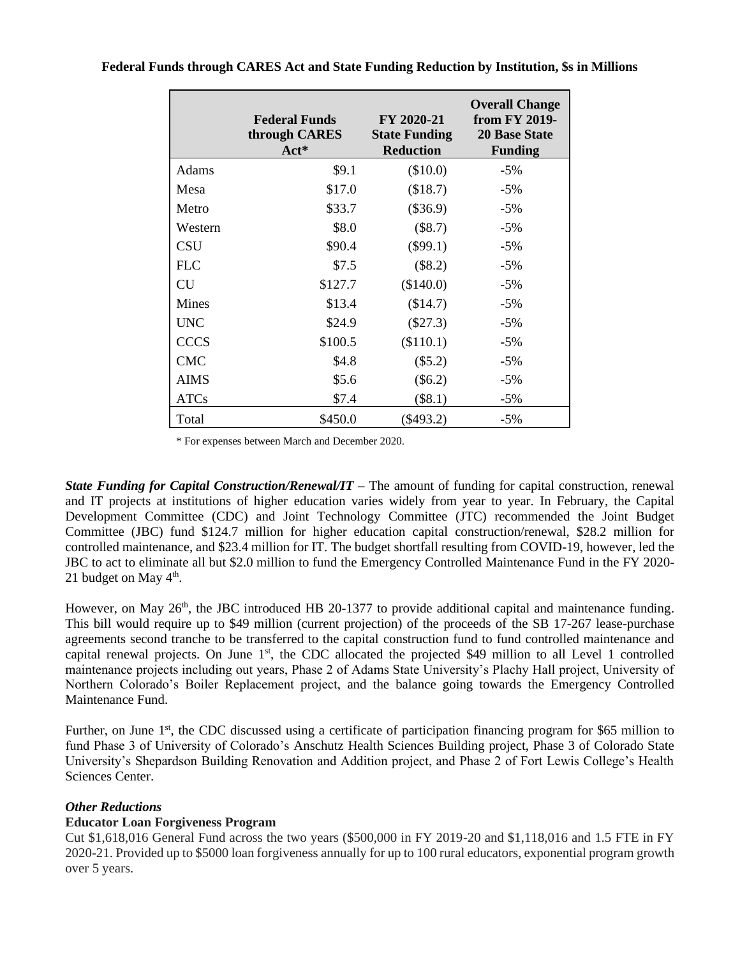|              | <b>Federal Funds</b><br>through CARES<br>$Act^*$ | FY 2020-21<br><b>State Funding</b><br><b>Reduction</b> | <b>Overall Change</b><br>from FY 2019-<br><b>20 Base State</b><br><b>Funding</b> |
|--------------|--------------------------------------------------|--------------------------------------------------------|----------------------------------------------------------------------------------|
| Adams        | \$9.1                                            | (\$10.0)                                               | $-5%$                                                                            |
| Mesa         | \$17.0                                           | (\$18.7)                                               | $-5%$                                                                            |
| Metro        | \$33.7                                           | $(\$36.9)$                                             | $-5%$                                                                            |
| Western      | \$8.0                                            | $(\$8.7)$                                              | $-5%$                                                                            |
| <b>CSU</b>   | \$90.4                                           | $(\$99.1)$                                             | $-5\%$                                                                           |
| <b>FLC</b>   | \$7.5                                            | $(\$8.2)$                                              | $-5%$                                                                            |
| <b>CU</b>    | \$127.7                                          | (\$140.0)                                              | $-5%$                                                                            |
| <b>Mines</b> | \$13.4                                           | (\$14.7)                                               | $-5%$                                                                            |
| <b>UNC</b>   | \$24.9                                           | $(\$27.3)$                                             | $-5%$                                                                            |
| <b>CCCS</b>  | \$100.5                                          | (\$110.1)                                              | $-5%$                                                                            |
| <b>CMC</b>   | \$4.8                                            | $(\$5.2)$                                              | $-5%$                                                                            |
| <b>AIMS</b>  | \$5.6                                            | $(\$6.2)$                                              | $-5\%$                                                                           |
| <b>ATCs</b>  | \$7.4                                            | $(\$8.1)$                                              | $-5\%$                                                                           |
| Total        | \$450.0                                          | $(\$493.2)$                                            | $-5%$                                                                            |

**Federal Funds through CARES Act and State Funding Reduction by Institution, \$s in Millions**

\* For expenses between March and December 2020.

*State Funding for Capital Construction/Renewal/IT –* The amount of funding for capital construction, renewal and IT projects at institutions of higher education varies widely from year to year. In February, the Capital Development Committee (CDC) and Joint Technology Committee (JTC) recommended the Joint Budget Committee (JBC) fund \$124.7 million for higher education capital construction/renewal, \$28.2 million for controlled maintenance, and \$23.4 million for IT. The budget shortfall resulting from COVID-19, however, led the JBC to act to eliminate all but \$2.0 million to fund the Emergency Controlled Maintenance Fund in the FY 2020- 21 budget on May 4<sup>th</sup>.

However, on May  $26<sup>th</sup>$ , the JBC introduced HB 20-1377 to provide additional capital and maintenance funding. This bill would require up to \$49 million (current projection) of the proceeds of the SB 17-267 lease-purchase agreements second tranche to be transferred to the capital construction fund to fund controlled maintenance and capital renewal projects. On June  $1<sup>st</sup>$ , the CDC allocated the projected \$49 million to all Level 1 controlled maintenance projects including out years, Phase 2 of Adams State University's Plachy Hall project, University of Northern Colorado's Boiler Replacement project, and the balance going towards the Emergency Controlled Maintenance Fund.

Further, on June 1<sup>st</sup>, the CDC discussed using a certificate of participation financing program for \$65 million to fund Phase 3 of University of Colorado's Anschutz Health Sciences Building project, Phase 3 of Colorado State University's Shepardson Building Renovation and Addition project, and Phase 2 of Fort Lewis College's Health Sciences Center.

### *Other Reductions*

### **Educator Loan Forgiveness Program**

Cut \$1,618,016 General Fund across the two years (\$500,000 in FY 2019-20 and \$1,118,016 and 1.5 FTE in FY 2020-21. Provided up to \$5000 loan forgiveness annually for up to 100 rural educators, exponential program growth over 5 years.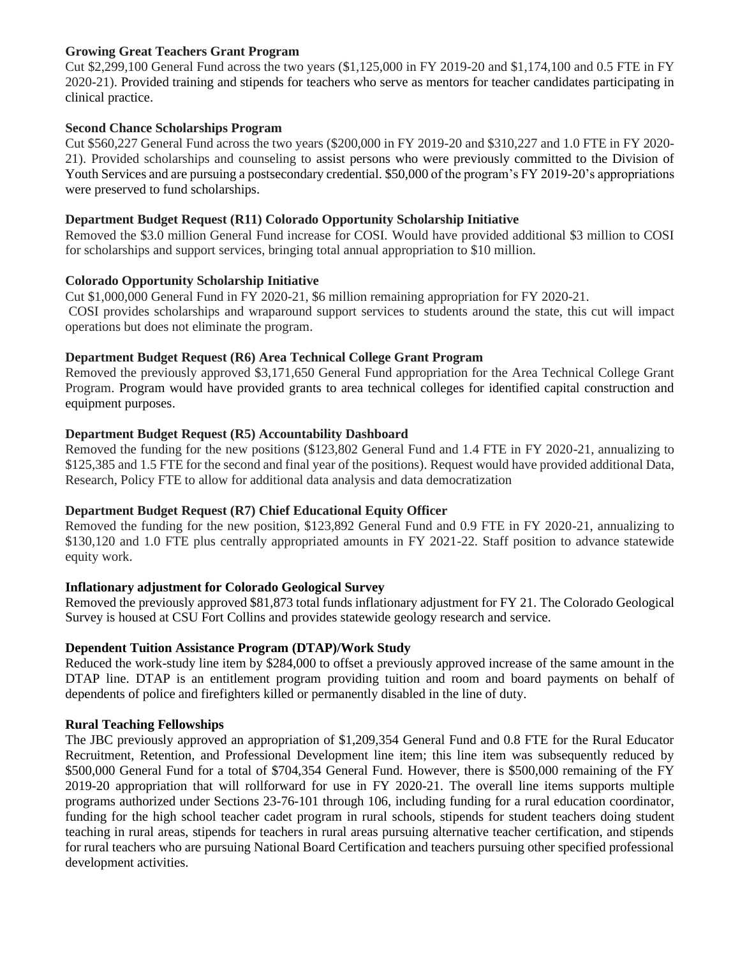# **Growing Great Teachers Grant Program**

Cut \$2,299,100 General Fund across the two years (\$1,125,000 in FY 2019-20 and \$1,174,100 and 0.5 FTE in FY 2020-21). Provided training and stipends for teachers who serve as mentors for teacher candidates participating in clinical practice.

# **Second Chance Scholarships Program**

Cut \$560,227 General Fund across the two years (\$200,000 in FY 2019-20 and \$310,227 and 1.0 FTE in FY 2020- 21). Provided scholarships and counseling to assist persons who were previously committed to the Division of Youth Services and are pursuing a postsecondary credential. \$50,000 of the program's FY 2019-20's appropriations were preserved to fund scholarships.

# **Department Budget Request (R11) Colorado Opportunity Scholarship Initiative**

Removed the \$3.0 million General Fund increase for COSI. Would have provided additional \$3 million to COSI for scholarships and support services, bringing total annual appropriation to \$10 million.

### **Colorado Opportunity Scholarship Initiative**

Cut \$1,000,000 General Fund in FY 2020-21, \$6 million remaining appropriation for FY 2020-21. COSI provides scholarships and wraparound support services to students around the state, this cut will impact operations but does not eliminate the program.

# **Department Budget Request (R6) Area Technical College Grant Program**

Removed the previously approved \$3,171,650 General Fund appropriation for the Area Technical College Grant Program. Program would have provided grants to area technical colleges for identified capital construction and equipment purposes.

# **Department Budget Request (R5) Accountability Dashboard**

Removed the funding for the new positions (\$123,802 General Fund and 1.4 FTE in FY 2020-21, annualizing to \$125,385 and 1.5 FTE for the second and final year of the positions). Request would have provided additional Data, Research, Policy FTE to allow for additional data analysis and data democratization

### **Department Budget Request (R7) Chief Educational Equity Officer**

Removed the funding for the new position, \$123,892 General Fund and 0.9 FTE in FY 2020-21, annualizing to \$130,120 and 1.0 FTE plus centrally appropriated amounts in FY 2021-22. Staff position to advance statewide equity work.

# **Inflationary adjustment for Colorado Geological Survey**

Removed the previously approved \$81,873 total funds inflationary adjustment for FY 21. The Colorado Geological Survey is housed at CSU Fort Collins and provides statewide geology research and service.

### **Dependent Tuition Assistance Program (DTAP)/Work Study**

Reduced the work-study line item by \$284,000 to offset a previously approved increase of the same amount in the DTAP line. DTAP is an entitlement program providing tuition and room and board payments on behalf of dependents of police and firefighters killed or permanently disabled in the line of duty.

### **Rural Teaching Fellowships**

The JBC previously approved an appropriation of \$1,209,354 General Fund and 0.8 FTE for the Rural Educator Recruitment, Retention, and Professional Development line item; this line item was subsequently reduced by \$500,000 General Fund for a total of \$704,354 General Fund. However, there is \$500,000 remaining of the FY 2019-20 appropriation that will rollforward for use in FY 2020-21. The overall line items supports multiple programs authorized under Sections 23-76-101 through 106, including funding for a rural education coordinator, funding for the high school teacher cadet program in rural schools, stipends for student teachers doing student teaching in rural areas, stipends for teachers in rural areas pursuing alternative teacher certification, and stipends for rural teachers who are pursuing National Board Certification and teachers pursuing other specified professional development activities.